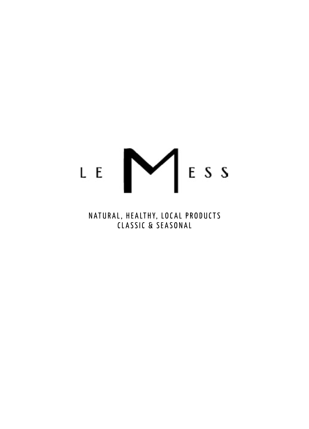# LE NESS

NATURAL, HEALTHY, LOC AL PRODUCTS CLASSIC & SEASONAL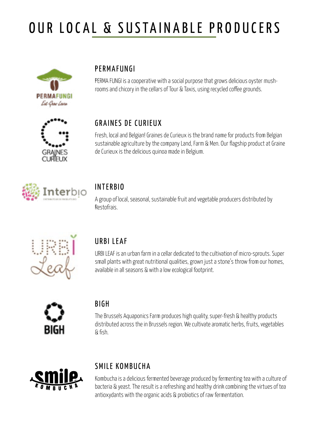# OUR LOCAL & SUSTAINABLE PRODUCERS



#### PERMAFUNGI

PERMA FUNGI is a cooperative with a social purpose that grows delicious oyster mushrooms and chicory in the cellars of Tour & Taxis, using recycled coffee grounds.



#### GRAINES DE CURIEUX

Fresh, local and Belgian! Graines de Curieux is the brand name for products from Belgian sustainable agriculture by the company Land, Farm & Men. Our flagship product at Graine de Curieux is the delicious quinoa made in Belgium.



#### INTERBIO

A group of local, seasonal, sustainable fruit and vegetable producers distributed by Restofrais.



#### URBI LEAF

URBI LEAF is an urban farm in a cellar dedicated to the cultivation of micro-sprouts. Super small plants with great nutritional qualities, grown just a stone's throw from our homes, available in all seasons & with a low ecological footprint.



#### BIGH

The Brussels Aquaponics Farm produces high quality, super-fresh & healthy products distributed across the in Brussels region. We cultivate aromatic herbs, fruits, vegetables & fish.



#### SMILE KOMBUCHA

Kombucha is a delicious fermented beverage produced by fermenting tea with a culture of bacteria & yeast. The result is a refreshing and healthy drink combining the virtues of tea antioxydants with the organic acids & probiotics of raw fermentation.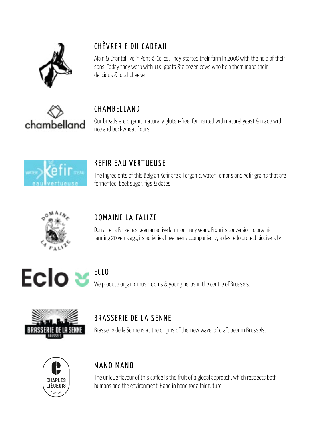

# CHÈVRERIE DU CADEAU

Alain & Chantal live in Pont-à-Celles. They started their farm in 2008 with the help of their sons. Today they work with 100 goats & a dozen cows who help them make their delicious & local cheese.



#### CHAMBELLAND

Our breads are organic, naturally gluten-free, fermented with natural yeast & made with rice and buckwheat flours.



## KEFIR EAU VERTUEUSE

The ingredients of this Belgian Kefir are all organic: water, lemons and kefir grains that are fermented, beet sugar, figs & dates.



## DOMAINE LA FALIZE

Domaine La Falize has been an active farm for many years. From its conversion to organic farming 20 years ago, its activities have been accompanied by a desire to protect biodiversity.



#### ECLO

We produce organic mushrooms & young herbs in the centre of Brussels.



# BRASSERIE DE LA SENNE

Brasserie de la Senne is at the origins of the 'new wave' of craft beer in Brussels.



#### MANO MANO

The unique flavour of this coffee is the fruit of a global approach, which respects both humans and the environment. Hand in hand for a fair future.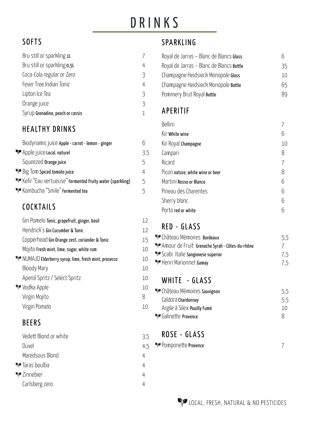# DRINKS

# **SOFTS**

| 4 |
|---|
| 3 |
| 4 |
| 3 |
| 3 |
|   |
|   |

## HEALTHY DRINKS

| Biodynamic juice Apple - carrot - lemon - ginger         |     |
|----------------------------------------------------------|-----|
| Apple juice Local, naturel                               | 3.5 |
| Squeezed Orange juice                                    | 5   |
| Big Tom Spiced tomato juice                              |     |
| Kefir "Eau vertueuse" Fermented fruity water (sparkling) | 5.  |
| " Kombucha "Smile" Fermented tea                         | 5   |

## COCKTAILS

| Gin Pomelo Tonic, grapefruit, ginger, basil         | 12 |
|-----------------------------------------------------|----|
| Hendrick's Gin Cucumber & Tonic                     | 12 |
| Copperhead Gin Orange zest, coriander & Tonic       | 15 |
| Mojito Fresh mint, lime, sugar, white rum           | 10 |
| NUMAJO Elderberry syrup, lime, fresh mint, prosecco | 10 |
| Bloody Mary                                         | 10 |
| Aperol Spritz / Select Spritz                       | 10 |
| Vodka Apple                                         | 10 |
| Virgin Mojito                                       | 8  |
| Virgin Pomelo                                       | 10 |
|                                                     |    |

#### BEERS

| Vedett Blond or white | 3.5 |
|-----------------------|-----|
| Duvel                 | 4.5 |
| Maredsous Blond       | 4   |
| ¶∙ Taras boulba       | 4   |
| <b>W</b> Zinnebier    | 4   |
| Carlsberg zero        |     |
|                       |     |

#### **SPARKLING**

| Royal de Jarras - Blanc de Blancs Glass  | n  |
|------------------------------------------|----|
| Royal de Jarras - Blanc de Blancs Bottle | 35 |
| Champagne Heidsieck Monopole Glass       | 10 |
| Champagne Heidsieck Monopole Bottle      | 65 |
| Pommery Brut Royal Bottle                | 89 |

#### APERITIF

| Bellini                          |    |
|----------------------------------|----|
| Kir White wine                   |    |
| Kir Royal Champagne              | 10 |
| Campari                          | 8  |
| Ricard                           |    |
| Picon nature, white wine or beer | 8  |
| Martini Rosso or Blanco          | 6  |
| Pineau des Charentes             | հ  |
| Sherry blanc                     | հ  |
| Porto red or white               |    |

## RED - GLASS

| 5.5      |
|----------|
| $\prime$ |
| 7.5      |
| 7.5      |
|          |

#### WHITE - GLASS

| · Château Mémoires Sauvignon | 5.5 |
|------------------------------|-----|
| Caldora Chardonnay           | 5.5 |
| Argile à Silex Pouilly Fumé  | 10  |
| Galinette Provence           |     |

## ROSE - GLASS

| Pomponette Provence |  |
|---------------------|--|
|                     |  |
|                     |  |
|                     |  |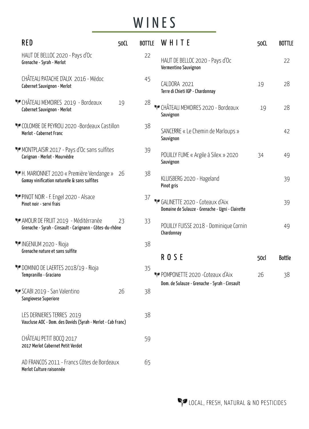# WINES

| <b>RED</b>                                                                                      | 50CL |    | BOTTLE WHITE                                                                       | 50CL | <b>BOTTLE</b> |
|-------------------------------------------------------------------------------------------------|------|----|------------------------------------------------------------------------------------|------|---------------|
| HAUT DE BELLOC 2020 - Pays d'Oc<br>Grenache - Syrah - Merlot                                    |      | 22 | HAUT DE BELLOC 2020 - Pays d'Oc<br>Vermentino Sauvignon                            |      | 22            |
| CHÂTEAU PATACHE D'AUX 2016 - Médoc<br>Cabernet Sauvignon - Merlot                               |      | 45 | CALDORA 2021<br>Terre di Chieti IGP - Chardonnay                                   | 19   | 28            |
| <b>**</b> CHÂTEAU MEMOIRES 2019 - Bordeaux<br>Cabernet Sauvignon - Merlot                       | 19   | 28 | CHÂTEAU MEMOIRES 2020 - Bordeaux<br>Sauvignon                                      | 19   | 28            |
| * COLOMBE DE PEYROU 2020 - Bordeaux Castillon<br>Merlot - Cabernet Franc                        |      | 38 | SANCERRE « Le Chemin de Marloups »<br>Sauvignon                                    |      | 42            |
| MONTPLAISIR 2017 - Pays d'Oc sans sulfites<br>Carignan - Merlot - Mourvèdre                     |      | 39 | POUILLY FUME « Argile à Silex » 2020<br>Sauvignon                                  | 34   | 49            |
| Nº H. MARIONNET 2020 « Première Vendange »<br>Gamay vinification naturelle & sans sulfites      | -26  | 38 | KLUISBERG 2020 - Hageland<br>Pinot gris                                            |      | 39            |
| PINOT NOIR - F. Engel 2020 - Alsace<br>Pinot noir - servi frais                                 |      | 37 | GALINETTE 2020 - Coteaux d'Aix<br>Domaine de Sulauze - Grenache - Ugni - Clairette |      | 39            |
| MAMOUR DE FRUIT 2019 - Méditérranée<br>Grenache - Syrah - Cinsault - Carignann - Côtes-du-rhône | 23   | 33 | POUILLY FUISSE 2018 - Dominique Cornin<br>Chardonnay                               |      | 49            |
| <b>WINGENIUM 2020 - Rioja</b><br>Grenache nature et sans sulfite                                |      | 38 | <b>ROSE</b>                                                                        | 50cl | Bottle        |
| PP DOMINIO DE LAERTES 2018/19 - Rioja<br>Tempranillo - Graciano                                 |      | 35 | POMPONETTE 2020 - Coteaux d'Aix                                                    | 26   | 38            |
| SCABI 2019 - San Valentino<br>Sangiovese Superiore                                              | 26   | 38 | Dom. de Sulauze - Grenache - Syrah - Cinsault                                      |      |               |
| LES DERNIERES TERRES 2019<br>Vaucluse AOC - Dom. des Davids (Syrah - Merlot - Cab Franc)        |      | 38 |                                                                                    |      |               |
| CHÂTEAU PETIT BOCQ 2017<br>2017 Merlot Cabernet Petit Verdot                                    |      | 59 |                                                                                    |      |               |
| AD FRANCOS 2011 - Francs Côtes de Bordeaux<br>Merlot Culture raisonnée                          |      | 65 |                                                                                    |      |               |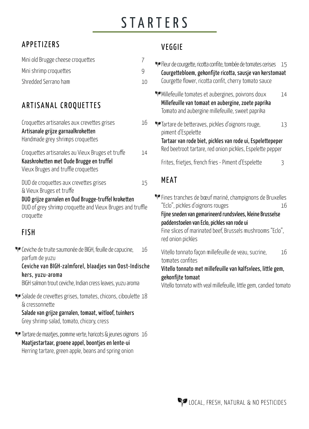# **STARTERS**

## APPETIZERS

| Mini old Brugge cheese croquettes |    |
|-----------------------------------|----|
| Mini shrimp croquettes            |    |
| Shredded Serrano ham              | 10 |

# ARTISANAL CROQUETTES

| Croquettes artisanales aux crevettes grises<br>Artisanale grijze garnaalkroketten<br>Handmade grey shrimps croquettes               | 16 |
|-------------------------------------------------------------------------------------------------------------------------------------|----|
| Croquettes artisanales au Vieux Bruges et truffe<br>Kaaskroketten met Oude Brugge en truffel<br>Vieux Bruges and truffle croquettes | 14 |
| DUO de croquettes aux crevettes grises<br>& Vieux Bruges et truffe                                                                  | 15 |
| DUO grijze garnalen en Oud Brugge-truffel kroketten<br>DUO of grey shrimp croquette and Vieux Bruges and truffle<br>croquette       |    |

#### FISH

PP Ceviche de truite saumonée de BIGH, feuille de capucine, 16 parfum de yuzu

Ceviche van BIGH-zalmforel, blaadjes van Oost-Indisch kers, yuzu-aroma

BIGH salmon trout ceviche, Indian cress leaves, yuzu aroma

Salade de crevettes grises, tomates, chicons, ciboulette 18 & cressonnette

Salade van grijze garnalen, tomaat, witloof, tuinkers Grey shrimp salad, tomato, chicory, cress

**T** Tartare de maatjes, pomme verte, haricots & jeunes oignons 16 Maatjestartaar, groene appel, boontjes en lente-ui Herring tartare, green apple, beans and spring onion

#### VEGGIE

| N       | Fleur de courgette, ricotta confite, tombée de tomates cerises<br>15<br>Courgettebloem, gekonfijte ricotta, sausje van kerstomaat<br>Courgette flower, ricotta confit, cherry tomato sauce                                                                                                        |  |
|---------|---------------------------------------------------------------------------------------------------------------------------------------------------------------------------------------------------------------------------------------------------------------------------------------------------|--|
|         | Millefeuille tomates et aubergines, poivrons doux<br>14<br>Millefeuille van tomaat en aubergine, zoete paprika<br>Tomato and aubergine millefeuille, sweet paprika                                                                                                                                |  |
| 6       | Tartare de betteraves, pickles d'oignons rouge,<br>13<br>piment d'Espelette<br>Tartaar van rode biet, pickles van rode ui, Espelettepeper                                                                                                                                                         |  |
| 4       | Red beetroot tartare, red onion pickles, Espelette pepper                                                                                                                                                                                                                                         |  |
|         | Frites, frietjes, french fries - Piment d'Espelette<br>3                                                                                                                                                                                                                                          |  |
|         | <b>MEAT</b>                                                                                                                                                                                                                                                                                       |  |
| e       | * Fines tranches de bœuf mariné, champignons de Bruxelles<br>"Eclo", pickles d'oignons rouges<br>16<br>Fijne sneden van gemarineerd rundsvlees, kleine Brusselse<br>paddenstoelen van Eclo, pickles van rode ui<br>Fine slices of marinated beef, Brussels mushrooms "Eclo",<br>red onion pickles |  |
| 6<br>ne | Vitello tonnato façon millefeuille de veau, sucrine,<br>16<br>tomates confites<br>Vitello tonnato met millefeuille van kalfsvlees, little gem,<br>gekonfijte tomaat                                                                                                                               |  |

Vitello tonnato with veal millefeuille, little gem, candied tomato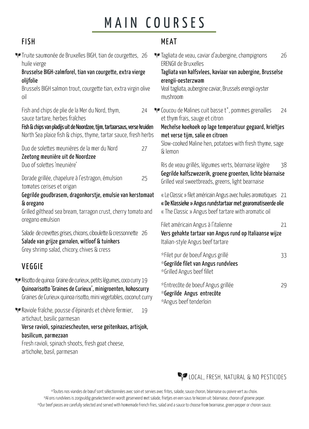# MAIN COURSES

#### FISH

|  | гіэп                                                                                                                                                                                                                               |                                                            | MEAI                                                                                                      |  |
|--|------------------------------------------------------------------------------------------------------------------------------------------------------------------------------------------------------------------------------------|------------------------------------------------------------|-----------------------------------------------------------------------------------------------------------|--|
|  | Truite saumonée de Bruxelles BIGH, tian de courgettes, 26<br>huile vierge<br>Brusselse BIGH-zalmforel, tian van courgette, extra vierge<br>olijfolie<br>Brussels BIGH salmon trout, courgette tian, extra virgin olive<br>oil      |                                                            | Tagliata de vea<br>ERENGII de Brux<br>Tagliata van ka<br>erengii-oesterz<br>Veal tagliata, au<br>mushroom |  |
|  | Fish and chips de plie de la Mer du Nord, thym,<br>sauce tartare, herbes fraîches<br>Fish & chips van pladijs uit de Noordzee, tijm, tartaarsaus, verse kruiden<br>North Sea plaice fish & chips, thyme, tartar sauce, fresh herbs | 24                                                         | <b>W</b> Coucou de Malir<br>et thym frais, s<br>Mechelse koek<br>met verse tijm,                          |  |
|  | Duo de solettes meunières de la mer du Nord<br>Zeetong meunière uit de Noordzee                                                                                                                                                    | 27                                                         | Slow-cooked M<br>& lemon                                                                                  |  |
|  | Duo of solettes 'meunière'<br>Dorade grillée, chapelure à l'estragon, émulsion<br>tomates cerises et origan                                                                                                                        | 25                                                         | Ris de veau gril<br>Gegrilde kalfsz<br>Grilled veal swe                                                   |  |
|  | Gegrilde goudbrasem, dragonkorstje, emulsie van kerstomaat<br>& oregano<br>Grilled gilthead sea bream, tarragon crust, cherry tomato and<br>oregano emulsion                                                                       | « Le Classic » file<br>« De Klassieke »<br>« The Classic » |                                                                                                           |  |
|  | Salade de crevettes grises, chicons, ciboulette & cressonnette 26<br>Salade van grijze garnalen, witloof & tuinkers                                                                                                                | Filet américain<br>Vers gehakte t<br>Italian-style An      |                                                                                                           |  |
|  | Grey shrimp salad, chicory, chives & cress<br><b>VEGGIE</b>                                                                                                                                                                        |                                                            | *Filet pur de be<br>$*$ Gegrilde filet<br>*Grilled Angus                                                  |  |
|  | Risotto de quinoa Graine de curieux, petits légumes, coco curry 19<br>Quinoarisotto 'Graines de Curieux', minigroenten, kokoscurry<br>Graines de Curieux quinoa risotto, mini vegetables, coconut curry                            |                                                            | *Entrecôte de l<br>*Gegrilde Ang                                                                          |  |

Raviole fraîche, pousse d'épinards et chèvre fermier, 19 artichaut, basilic parmesan Verse ravioli, spinaziescheuten, verse geitenkaas, artisjok, basilicum, parmezaan Fresh ravioli, spinach shoots, fresh goat cheese, artichoke, basil, parmesan

#### MEAT

| Tagliata de veau, caviar d'aubergine, champignons<br><b>ERENGII de Bruxelles</b>                                                                                                                                                                          | 26 |
|-----------------------------------------------------------------------------------------------------------------------------------------------------------------------------------------------------------------------------------------------------------|----|
| Tagliata van kalfsvlees, kaviaar van aubergine, Brusselse<br>erengii-oesterzwam<br>Veal tagliata, aubergine caviar, Brussels erengii oyster<br>mushroom                                                                                                   |    |
| Coucou de Malines cuit basse t°, pommes grenailles<br>et thym frais, sauge et citron<br>Mechelse koekoek op lage temperatuur gegaard, krieltjes<br>met verse tijm, salie en citroen<br>Slow-cooked Maline hen, potatoes with fresh thyme, sage<br>& lemon | 24 |
| Ris de veau grillés, légumes verts, béarnaise légère<br>Gegrilde kalfszwezerik, groene groenten, lichte béarnaise<br>Grilled veal sweetbreads, greens, light bearnaise                                                                                    | 38 |
| « Le Classic » filet américain Angus avec huiles aromatiques<br>« De Klassieke » Angus rundstartaar met gearomatiseerde olie<br>« The Classic » Angus beef tartare with aromatic oil                                                                      | 21 |
| Filet américain Angus à l'italienne<br>Vers gehakte tartaar van Angus rund op Italiaanse wijze<br>Italian-style Angus beef tartare                                                                                                                        | 21 |
| *Filet pur de boeuf Angus grillé<br>$*$ Gegrilde filet van Angus rundvlees<br>*Grilled Angus beef fillet                                                                                                                                                  | 33 |
| *Entrecôte de boeuf Angus grillée<br>*Gegrilde Angus entrecôte<br>*Angus beef tenderloin                                                                                                                                                                  | 29 |
|                                                                                                                                                                                                                                                           |    |



\*Toutes nos viandes de bœuf sont sélectionnées avec soin et servies avec frites, salade, sauce choron, béarnaise ou poivre vert au choix. \*Al ons rundvlees is zorgvuldig geselecteerd en wordt geserveerd met salade, frietjes en een saus te kiezen uit: béarnaise, choron of groene peper. \*Our beef pieces are carefully selected and served with homemade French fries, salad and a sauce to choose from bearnaise, green pepper or choron sauce.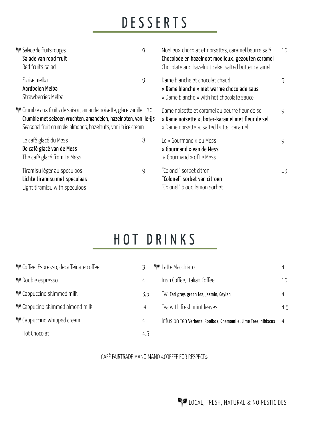# DESSERTS

| Salade de fruits rouges<br>Salade van rood fruit<br>Red fruits salad                          |                                                                                                                                                                                                               | 9 | Moelleux chocolat et noisettes, caramel beurre salé<br>Chocolade en hazelnoot moelleux, gezouten caramel<br>Chocolate and hazelnut cake, salted butter caramel | 10 |
|-----------------------------------------------------------------------------------------------|---------------------------------------------------------------------------------------------------------------------------------------------------------------------------------------------------------------|---|----------------------------------------------------------------------------------------------------------------------------------------------------------------|----|
| Fraise melba<br>Aardbeien Melba<br>Strawberries Melba                                         |                                                                                                                                                                                                               | 9 | Dame blanche et chocolat chaud<br>« Dame blanche » met warme chocolade saus<br>« Dame blanche » with hot chocolate sauce                                       | 9  |
|                                                                                               | <b>T</b> Crumble aux fruits de saison, amande noisette, glace vanille 10<br>Crumble met seizoen vruchten, amandelen, hazelnoten, vanille-ijs<br>Seasonal fruit crumble, almonds, hazelnuts, vanilla ice cream |   | Dame noisette et caramel au beurre fleur de sel<br>« Dame noisette », boter-karamel met fleur de sel<br>« Dame noisette », salted butter caramel               | 9  |
| Le café glacé du Mess<br>De café glacé van de Mess<br>The café glacé from Le Mess             |                                                                                                                                                                                                               | 8 | Le « Gourmand » du Mess<br>« Gourmand » van de Mess<br>« Gourmand » of Le Mess                                                                                 | 9  |
| Tiramisu léger au speculoos<br>Lichte tiramisu met speculaas<br>Light tiramisu with speculoos |                                                                                                                                                                                                               | 9 | "Colonel" sorbet citron<br>"Colonel" sorbet van citroen<br>"Colonel" blood lemon sorbet                                                                        | 13 |

# HOT DRINKS

| Coffee, Espresso, decaffeinate coffee |                | <b>N</b> Latte Macchiato                                        |     |
|---------------------------------------|----------------|-----------------------------------------------------------------|-----|
| Double espresso                       | 4              | Irish Coffee, Italian Coffee                                    | 10  |
| Cappuccino skimmed milk               | 3,5            | Tea Earl grey, green tea, jasmin, Ceylan                        |     |
| Cappucino skimmed almond milk         |                | Tea with fresh mint leaves                                      | 4.5 |
| <b>••</b> Cappuccino whipped cream    | $\overline{4}$ | Infusion tea Verbena, Rooibos, Chamomile, Lime Tree, hibiscus 4 |     |
| Hot Chocolat                          | 4,5            |                                                                 |     |

CAFÉ FAIRTRADE MANO MANO «COFFEE FOR RESPECT»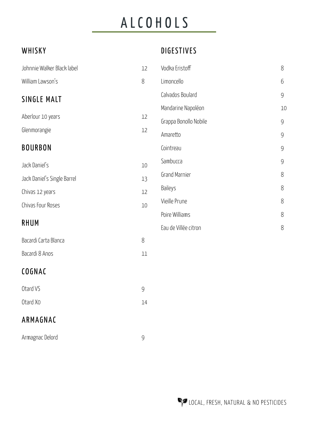# ALCOHOLS

#### WHISKY

## DIGESTIVES

| Johnnie Walker Black label  | 12     | Vodka Eristoff        | 8     |
|-----------------------------|--------|-----------------------|-------|
| William Lawson's            | $8\,$  | Limoncello            | 6     |
| SINGLE MALT                 |        | Calvados Boulard      | 9     |
|                             |        | Mandarine Napoléon    | 10    |
| Aberlour 10 years           | 12     | Grappa Bonollo Nobile | 9     |
| Glenmorangie                | 12     | Amaretto              | 9     |
| <b>BOURBON</b>              |        | Cointreau             | 9     |
| Jack Daniel's               | 10     | Sambucca              | 9     |
| Jack Daniel's Single Barrel | 13     | Grand Marnier         | 8     |
| Chivas 12 years             | 12     | Baileys               | $8\,$ |
| Chivas Four Roses           | 10     | Vieille Prune         | $8\,$ |
|                             |        | Poire Williams        | 8     |
| <b>RHUM</b>                 |        | Eau de Villée citron  | 8     |
| Bacardi Carta Blanca        | 8      |                       |       |
| Bacardi 8 Anos              | $11\,$ |                       |       |
| COGNAC                      |        |                       |       |
| Otard VS                    | 9      |                       |       |
| Otard Xo                    | 14     |                       |       |
|                             |        |                       |       |

## ARMAGNAC

| Armagnac Delord |  |
|-----------------|--|
|-----------------|--|